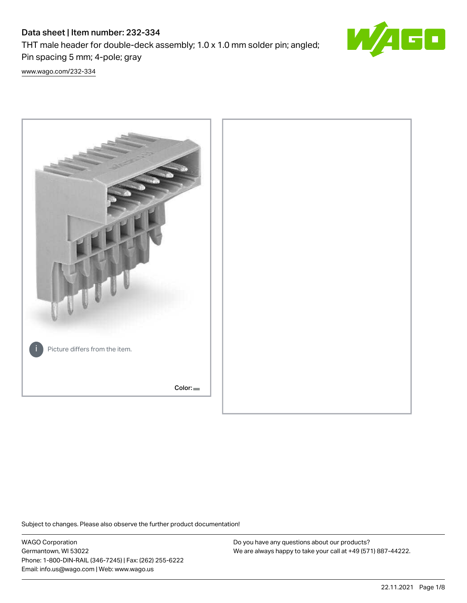# Data sheet | Item number: 232-334

THT male header for double-deck assembly; 1.0 x 1.0 mm solder pin; angled; Pin spacing 5 mm; 4-pole; gray



[www.wago.com/232-334](http://www.wago.com/232-334)



Subject to changes. Please also observe the further product documentation!

WAGO Corporation Germantown, WI 53022 Phone: 1-800-DIN-RAIL (346-7245) | Fax: (262) 255-6222 Email: info.us@wago.com | Web: www.wago.us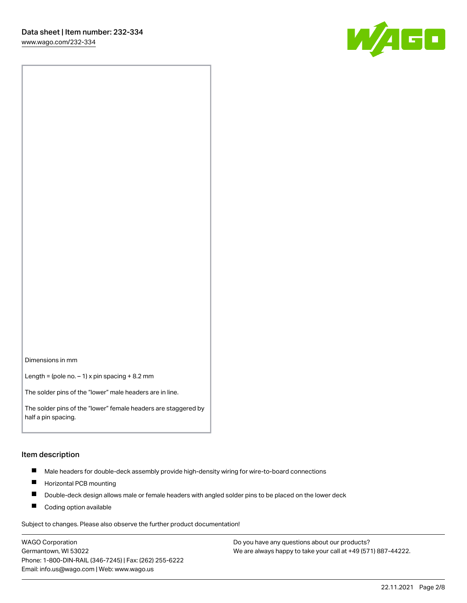[www.wago.com/232-334](http://www.wago.com/232-334)



Dimensions in mm

Length = (pole no.  $-1$ ) x pin spacing + 8.2 mm

The solder pins of the "lower" male headers are in line.

The solder pins of the "lower" female headers are staggered by half a pin spacing.

#### Item description

- $\blacksquare$ Male headers for double-deck assembly provide high-density wiring for wire-to-board connections
- $\blacksquare$ Horizontal PCB mounting
- $\blacksquare$ Double-deck design allows male or female headers with angled solder pins to be placed on the lower deck
- $\blacksquare$ Coding option available

Subject to changes. Please also observe the further product documentation!

WAGO Corporation Germantown, WI 53022 Phone: 1-800-DIN-RAIL (346-7245) | Fax: (262) 255-6222 Email: info.us@wago.com | Web: www.wago.us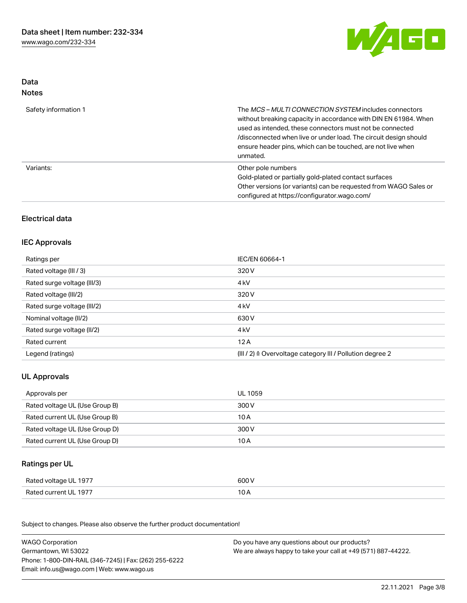

### Data Notes

| Safety information 1 | The MCS-MULTI CONNECTION SYSTEM includes connectors<br>without breaking capacity in accordance with DIN EN 61984. When<br>used as intended, these connectors must not be connected<br>/disconnected when live or under load. The circuit design should<br>ensure header pins, which can be touched, are not live when<br>unmated. |
|----------------------|-----------------------------------------------------------------------------------------------------------------------------------------------------------------------------------------------------------------------------------------------------------------------------------------------------------------------------------|
| Variants:            | Other pole numbers<br>Gold-plated or partially gold-plated contact surfaces<br>Other versions (or variants) can be requested from WAGO Sales or<br>configured at https://configurator.wago.com/                                                                                                                                   |

## Electrical data

### IEC Approvals

| Ratings per                 | IEC/EN 60664-1                                            |
|-----------------------------|-----------------------------------------------------------|
| Rated voltage (III / 3)     | 320 V                                                     |
| Rated surge voltage (III/3) | 4 <sub>k</sub> V                                          |
| Rated voltage (III/2)       | 320 V                                                     |
| Rated surge voltage (III/2) | 4 <sub>k</sub> V                                          |
| Nominal voltage (II/2)      | 630 V                                                     |
| Rated surge voltage (II/2)  | 4 <sub>k</sub> V                                          |
| Rated current               | 12A                                                       |
| Legend (ratings)            | (III / 2) ≙ Overvoltage category III / Pollution degree 2 |

# UL Approvals

| Approvals per                  | UL 1059 |
|--------------------------------|---------|
| Rated voltage UL (Use Group B) | 300 V   |
| Rated current UL (Use Group B) | 10 A    |
| Rated voltage UL (Use Group D) | 300 V   |
| Rated current UL (Use Group D) | 10 A    |

## Ratings per UL

| - 1977<br>Rated voltage UL | 600 V                |
|----------------------------|----------------------|
| Rated current UL 1977      | 10<br>$\overline{v}$ |

Subject to changes. Please also observe the further product documentation!

| <b>WAGO Corporation</b>                                | Do you have any questions about our products?                 |
|--------------------------------------------------------|---------------------------------------------------------------|
| Germantown, WI 53022                                   | We are always happy to take your call at +49 (571) 887-44222. |
| Phone: 1-800-DIN-RAIL (346-7245)   Fax: (262) 255-6222 |                                                               |
| Email: info.us@wago.com   Web: www.wago.us             |                                                               |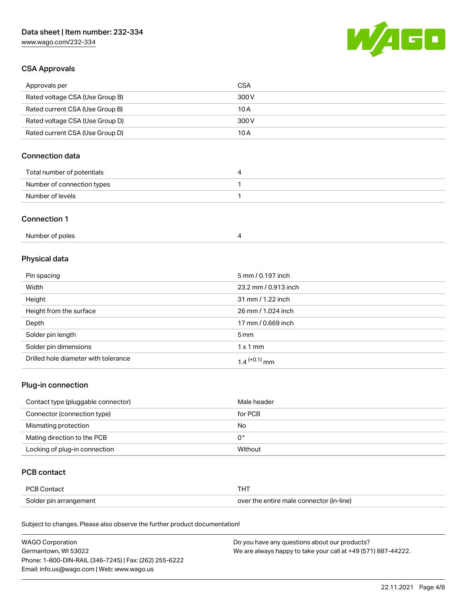# Data sheet | Item number: 232-334

[www.wago.com/232-334](http://www.wago.com/232-334)



### CSA Approvals

| Approvals per                   | CSA   |
|---------------------------------|-------|
| Rated voltage CSA (Use Group B) | 300 V |
| Rated current CSA (Use Group B) | 10 A  |
| Rated voltage CSA (Use Group D) | 300 V |
| Rated current CSA (Use Group D) | 10 A  |

## Connection data

| Total number of potentials |  |
|----------------------------|--|
| Number of connection types |  |
| Number of levels           |  |

#### Connection 1

## Physical data

| Pin spacing                          | 5 mm / 0.197 inch    |
|--------------------------------------|----------------------|
| Width                                | 23.2 mm / 0.913 inch |
| Height                               | 31 mm / 1.22 inch    |
| Height from the surface              | 26 mm / 1.024 inch   |
| Depth                                | 17 mm / 0.669 inch   |
| Solder pin length                    | $5 \,\mathrm{mm}$    |
| Solder pin dimensions                | $1 \times 1$ mm      |
| Drilled hole diameter with tolerance | $1.4$ $(+0.1)$ mm    |

## Plug-in connection

| Contact type (pluggable connector) | Male header |
|------------------------------------|-------------|
| Connector (connection type)        | for PCB     |
| Mismating protection               | No          |
| Mating direction to the PCB        | 0°          |
| Locking of plug-in connection      | Without     |

#### PCB contact

| <b>PCB Contact</b>     | <b>THT</b>                               |
|------------------------|------------------------------------------|
| Solder pin arrangement | over the entire male connector (in-line) |

Subject to changes. Please also observe the further product documentation!

| <b>WAGO Corporation</b>                                | Do you have any questions about our products?                 |
|--------------------------------------------------------|---------------------------------------------------------------|
| Germantown, WI 53022                                   | We are always happy to take your call at +49 (571) 887-44222. |
| Phone: 1-800-DIN-RAIL (346-7245)   Fax: (262) 255-6222 |                                                               |
| Email: info.us@wago.com   Web: www.wago.us             |                                                               |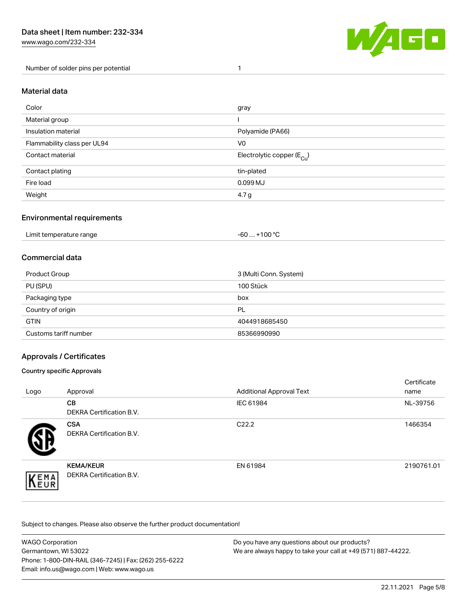[www.wago.com/232-334](http://www.wago.com/232-334)

Number of solder pins per potential 1



#### Material data

| Color                       | gray                                   |
|-----------------------------|----------------------------------------|
| Material group              |                                        |
| Insulation material         | Polyamide (PA66)                       |
| Flammability class per UL94 | V <sub>0</sub>                         |
| Contact material            | Electrolytic copper (E <sub>Cu</sub> ) |
| Contact plating             | tin-plated                             |
| Fire load                   | 0.099 MJ                               |
| Weight                      | 4.7 <sub>g</sub>                       |

#### Environmental requirements

Limit temperature range  $-60... +100$  °C

### Commercial data

| Product Group         | 3 (Multi Conn. System) |
|-----------------------|------------------------|
| PU (SPU)              | 100 Stück              |
| Packaging type        | box                    |
| Country of origin     | PL                     |
| <b>GTIN</b>           | 4044918685450          |
| Customs tariff number | 85366990990            |

### Approvals / Certificates

#### Country specific Approvals

| Logo               | Approval                                            | <b>Additional Approval Text</b> | Certificate<br>name |
|--------------------|-----------------------------------------------------|---------------------------------|---------------------|
|                    | <b>CB</b><br><b>DEKRA Certification B.V.</b>        | IEC 61984                       | NL-39756            |
|                    | <b>CSA</b><br>DEKRA Certification B.V.              | C <sub>22.2</sub>               | 1466354             |
| EMA<br><b>NEUR</b> | <b>KEMA/KEUR</b><br><b>DEKRA Certification B.V.</b> | EN 61984                        | 2190761.01          |

Subject to changes. Please also observe the further product documentation!

| <b>WAGO Corporation</b>                                | Do you have any questions about our products?                 |
|--------------------------------------------------------|---------------------------------------------------------------|
| Germantown, WI 53022                                   | We are always happy to take your call at +49 (571) 887-44222. |
| Phone: 1-800-DIN-RAIL (346-7245)   Fax: (262) 255-6222 |                                                               |
| Email: info.us@wago.com   Web: www.wago.us             |                                                               |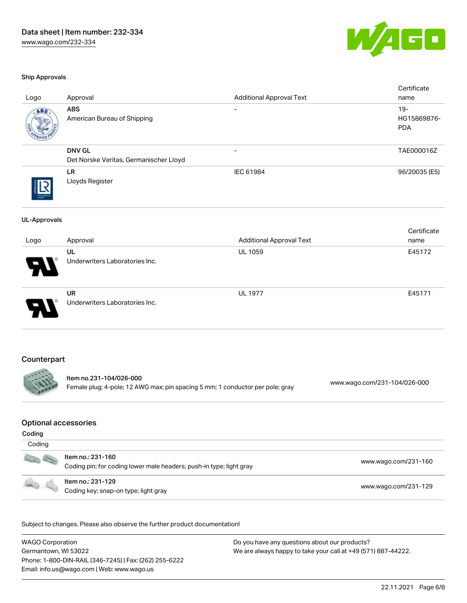

#### Ship Approvals

| Logo                                            | Approval                                                                                                 | <b>Additional Approval Text</b> | Certificate<br>name                 |  |
|-------------------------------------------------|----------------------------------------------------------------------------------------------------------|---------------------------------|-------------------------------------|--|
| ABS                                             | <b>ABS</b><br>American Bureau of Shipping                                                                |                                 | $19 -$<br>HG15869876-<br><b>PDA</b> |  |
|                                                 | <b>DNV GL</b><br>Det Norske Veritas, Germanischer Lloyd                                                  |                                 | TAE000016Z                          |  |
|                                                 | <b>LR</b><br>Lloyds Register                                                                             | IEC 61984                       | 96/20035 (E5)                       |  |
| <b>UL-Approvals</b>                             | Approval                                                                                                 | <b>Additional Approval Text</b> | Certificate<br>name                 |  |
| Logo                                            | UL<br>Underwriters Laboratories Inc.                                                                     | <b>UL 1059</b>                  | E45172                              |  |
|                                                 | <b>UR</b><br>Underwriters Laboratories Inc.                                                              | <b>UL 1977</b>                  | E45171                              |  |
| Counterpart                                     | Item no.231-104/026-000<br>Female plug; 4-pole; 12 AWG max; pin spacing 5 mm; 1 conductor per pole; gray |                                 | www.wago.com/231-104/026-000        |  |
| <b>Optional accessories</b><br>Coding<br>Coding |                                                                                                          |                                 |                                     |  |
|                                                 | Item no.: 231-160<br>Coding pin; for coding lower male headers; push-in type; light gray                 |                                 | www.wago.com/231-160                |  |
|                                                 |                                                                                                          |                                 | www.wago.com/231-129                |  |

Subject to changes. Please also observe the further product documentation!

WAGO Corporation Germantown, WI 53022 Phone: 1-800-DIN-RAIL (346-7245) | Fax: (262) 255-6222 Email: info.us@wago.com | Web: www.wago.us Do you have any questions about our products? We are always happy to take your call at +49 (571) 887-44222.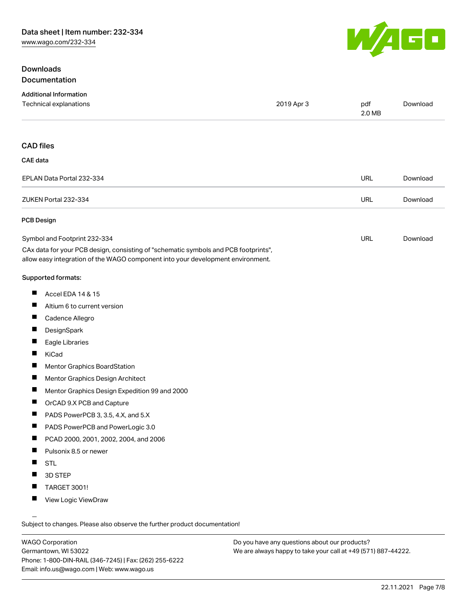### Downloads Documentation



| <b>Additional Information</b>                                                                                                                                          |            |               |          |
|------------------------------------------------------------------------------------------------------------------------------------------------------------------------|------------|---------------|----------|
| Technical explanations                                                                                                                                                 | 2019 Apr 3 | pdf<br>2.0 MB | Download |
|                                                                                                                                                                        |            |               |          |
| <b>CAD files</b>                                                                                                                                                       |            |               |          |
| CAE data                                                                                                                                                               |            |               |          |
| EPLAN Data Portal 232-334                                                                                                                                              |            | URL           | Download |
| ZUKEN Portal 232-334                                                                                                                                                   |            | URL           | Download |
| <b>PCB Design</b>                                                                                                                                                      |            |               |          |
| Symbol and Footprint 232-334                                                                                                                                           |            | <b>URL</b>    | Download |
| CAx data for your PCB design, consisting of "schematic symbols and PCB footprints",<br>allow easy integration of the WAGO component into your development environment. |            |               |          |
| Supported formats:                                                                                                                                                     |            |               |          |
| ш<br>Accel EDA 14 & 15                                                                                                                                                 |            |               |          |
| ш<br>Altium 6 to current version                                                                                                                                       |            |               |          |
| ш<br>Cadence Allegro                                                                                                                                                   |            |               |          |
| ш<br>DesignSpark                                                                                                                                                       |            |               |          |
| ш<br>Eagle Libraries                                                                                                                                                   |            |               |          |
| H<br>KiCad                                                                                                                                                             |            |               |          |
| H.<br>Mentor Graphics BoardStation                                                                                                                                     |            |               |          |
| H<br>Mentor Graphics Design Architect                                                                                                                                  |            |               |          |

- $\blacksquare$ Mentor Graphics Design Expedition 99 and 2000
- $\blacksquare$ OrCAD 9.X PCB and Capture
- $\blacksquare$ PADS PowerPCB 3, 3.5, 4.X, and 5.X
- PADS PowerPCB and PowerLogic 3.0  $\blacksquare$
- $\blacksquare$ PCAD 2000, 2001, 2002, 2004, and 2006
- $\blacksquare$ Pulsonix 8.5 or newer
- $\blacksquare$ STL
- $\blacksquare$ 3D STEP
- $\blacksquare$ TARGET 3001!
- $\blacksquare$ View Logic ViewDraw

Subject to changes. Please also observe the further product documentation!

WAGO Corporation Germantown, WI 53022 Phone: 1-800-DIN-RAIL (346-7245) | Fax: (262) 255-6222 Email: info.us@wago.com | Web: www.wago.us